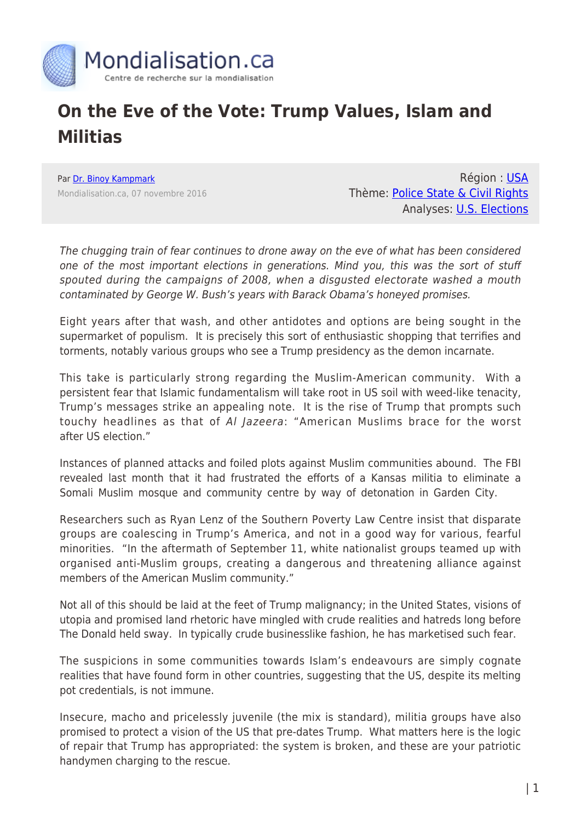

## **On the Eve of the Vote: Trump Values, Islam and Militias**

Par [Dr. Binoy Kampmark](https://www.mondialisation.ca/author/binoy-kampmark) Mondialisation.ca, 07 novembre 2016

Région : [USA](https://www.mondialisation.ca/region/usa) Thème: [Police State & Civil Rights](https://www.mondialisation.ca/theme/police-state-civil-rights) Analyses: [U.S. Elections](https://www.mondialisation.ca/indepthreport/u-s-elections)

The chugging train of fear continues to drone away on the eve of what has been considered one of the most important elections in generations. Mind you, this was the sort of stuff spouted during the campaigns of 2008, when a disgusted electorate washed a mouth contaminated by George W. Bush's years with Barack Obama's honeyed promises.

Eight years after that wash, and other antidotes and options are being sought in the supermarket of populism. It is precisely this sort of enthusiastic shopping that terrifies and torments, notably various groups who see a Trump presidency as the demon incarnate.

This take is particularly strong regarding the Muslim-American community. With a persistent fear that Islamic fundamentalism will take root in US soil with weed-like tenacity, Trump's messages strike an appealing note. It is the rise of Trump that prompts such touchy headlines as that of Al Jazeera: "American Muslims brace for the worst after US election."

Instances of planned attacks and foiled plots against Muslim communities abound. The FBI revealed last month that it had frustrated the efforts of a Kansas militia to eliminate a Somali Muslim mosque and community centre by way of detonation in Garden City.

Researchers such as Ryan Lenz of the Southern Poverty Law Centre insist that disparate groups are coalescing in Trump's America, and not in a good way for various, fearful minorities. "In the aftermath of September 11, white nationalist groups teamed up with organised anti-Muslim groups, creating a dangerous and threatening alliance against members of the American Muslim community."

Not all of this should be laid at the feet of Trump malignancy; in the United States, visions of utopia and promised land rhetoric have mingled with crude realities and hatreds long before The Donald held sway. In typically crude businesslike fashion, he has marketised such fear.

The suspicions in some communities towards Islam's endeavours are simply cognate realities that have found form in other countries, suggesting that the US, despite its melting pot credentials, is not immune.

Insecure, macho and pricelessly juvenile (the mix is standard), militia groups have also promised to protect a vision of the US that pre-dates Trump. What matters here is the logic of repair that Trump has appropriated: the system is broken, and these are your patriotic handymen charging to the rescue.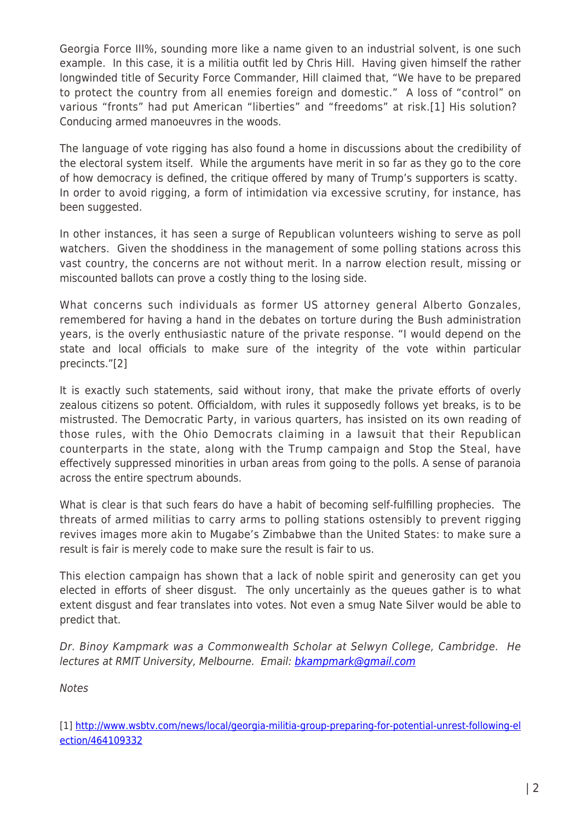Georgia Force III%, sounding more like a name given to an industrial solvent, is one such example. In this case, it is a militia outfit led by Chris Hill. Having given himself the rather longwinded title of Security Force Commander, Hill claimed that, "We have to be prepared to protect the country from all enemies foreign and domestic." A loss of "control" on various "fronts" had put American "liberties" and "freedoms" at risk.[1] His solution? Conducing armed manoeuvres in the woods.

The language of vote rigging has also found a home in discussions about the credibility of the electoral system itself. While the arguments have merit in so far as they go to the core of how democracy is defined, the critique offered by many of Trump's supporters is scatty. In order to avoid rigging, a form of intimidation via excessive scrutiny, for instance, has been suggested.

In other instances, it has seen a surge of Republican volunteers wishing to serve as poll watchers. Given the shoddiness in the management of some polling stations across this vast country, the concerns are not without merit. In a narrow election result, missing or miscounted ballots can prove a costly thing to the losing side.

What concerns such individuals as former US attorney general Alberto Gonzales, remembered for having a hand in the debates on torture during the Bush administration years, is the overly enthusiastic nature of the private response. "I would depend on the state and local officials to make sure of the integrity of the vote within particular precincts."[2]

It is exactly such statements, said without irony, that make the private efforts of overly zealous citizens so potent. Officialdom, with rules it supposedly follows yet breaks, is to be mistrusted. The Democratic Party, in various quarters, has insisted on its own reading of those rules, with the Ohio Democrats claiming in a lawsuit that their Republican counterparts in the state, along with the Trump campaign and Stop the Steal, have effectively suppressed minorities in urban areas from going to the polls. A sense of paranoia across the entire spectrum abounds.

What is clear is that such fears do have a habit of becoming self-fulfilling prophecies. The threats of armed militias to carry arms to polling stations ostensibly to prevent rigging revives images more akin to Mugabe's Zimbabwe than the United States: to make sure a result is fair is merely code to make sure the result is fair to us.

This election campaign has shown that a lack of noble spirit and generosity can get you elected in efforts of sheer disgust. The only uncertainly as the queues gather is to what extent disgust and fear translates into votes. Not even a smug Nate Silver would be able to predict that.

Dr. Binoy Kampmark was a Commonwealth Scholar at Selwyn College, Cambridge. He lectures at RMIT University, Melbourne. Email: **bkampmark@gmail.com** 

Notes

[1] [http://www.wsbtv.com/news/local/georgia-militia-group-preparing-for-potential-unrest-following-el](http://www.wsbtv.com/news/local/georgia-militia-group-preparing-for-potential-unrest-following-election/464109332) [ection/464109332](http://www.wsbtv.com/news/local/georgia-militia-group-preparing-for-potential-unrest-following-election/464109332)